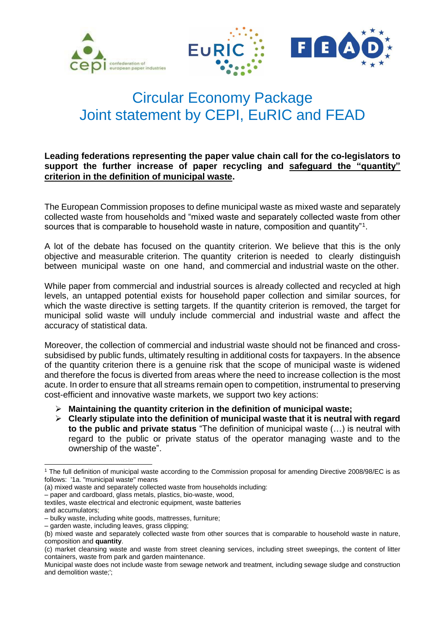





# Circular Economy Package Joint statement by CEPI, EuRIC and FEAD

### **Leading federations representing the paper value chain call for the co-legislators to support the further increase of paper recycling and safeguard the "quantity" criterion in the definition of municipal waste.**

The European Commission proposes to define municipal waste as mixed waste and separately collected waste from households and "mixed waste and separately collected waste from other sources that is comparable to household waste in nature, composition and quantity"<sup>1</sup>.

A lot of the debate has focused on the quantity criterion. We believe that this is the only objective and measurable criterion. The quantity criterion is needed to clearly distinguish between municipal waste on one hand, and commercial and industrial waste on the other.

While paper from commercial and industrial sources is already collected and recycled at high levels, an untapped potential exists for household paper collection and similar sources, for which the waste directive is setting targets. If the quantity criterion is removed, the target for municipal solid waste will unduly include commercial and industrial waste and affect the accuracy of statistical data.

Moreover, the collection of commercial and industrial waste should not be financed and crosssubsidised by public funds, ultimately resulting in additional costs for taxpayers. In the absence of the quantity criterion there is a genuine risk that the scope of municipal waste is widened and therefore the focus is diverted from areas where the need to increase collection is the most acute. In order to ensure that all streams remain open to competition, instrumental to preserving cost-efficient and innovative waste markets, we support two key actions:

- **Maintaining the quantity criterion in the definition of municipal waste;**
- **Clearly stipulate into the definition of municipal waste that it is neutral with regard to the public and private status** "The definition of municipal waste (…) is neutral with regard to the public or private status of the operator managing waste and to the ownership of the waste".

and accumulators;

l

<sup>1</sup> The full definition of municipal waste according to the Commission proposal for amending Directive 2008/98/EC is as follows: '1a. "municipal waste" means

<sup>(</sup>a) mixed waste and separately collected waste from households including:

<sup>–</sup> paper and cardboard, glass metals, plastics, bio-waste, wood,

textiles, waste electrical and electronic equipment, waste batteries

<sup>–</sup> bulky waste, including white goods, mattresses, furniture;

<sup>–</sup> garden waste, including leaves, grass clipping;

<sup>(</sup>b) mixed waste and separately collected waste from other sources that is comparable to household waste in nature, composition and **quantity**.

<sup>(</sup>c) market cleansing waste and waste from street cleaning services, including street sweepings, the content of litter containers, waste from park and garden maintenance.

Municipal waste does not include waste from sewage network and treatment, including sewage sludge and construction and demolition waste;';